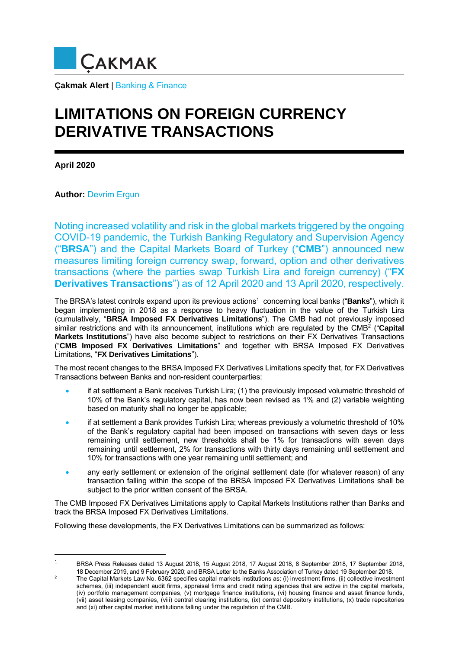

**Çakmak Alert** | Banking & Finance

## **LIMITATIONS ON FOREIGN CURRENCY DERIVATIVE TRANSACTIONS**

**April 2020** 

**Author:** Devrim Ergun

Noting increased volatility and risk in the global markets triggered by the ongoing COVID-19 pandemic, the Turkish Banking Regulatory and Supervision Agency ("**BRSA**") and the Capital Markets Board of Turkey ("**CMB**") announced new measures limiting foreign currency swap, forward, option and other derivatives transactions (where the parties swap Turkish Lira and foreign currency) ("**FX Derivatives Transactions**") as of 12 April 2020 and 13 April 2020, respectively.

The BRSA's latest controls expand upon its previous actions1 concerning local banks ("**Banks**"), which it began implementing in 2018 as a response to heavy fluctuation in the value of the Turkish Lira (cumulatively, "**BRSA Imposed FX Derivatives Limitations**"). The CMB had not previously imposed similar restrictions and with its announcement, institutions which are regulated by the CMB<sup>2</sup> ("Capital **Markets Institutions**") have also become subject to restrictions on their FX Derivatives Transactions ("**CMB Imposed FX Derivatives Limitations**" and together with BRSA Imposed FX Derivatives Limitations, "**FX Derivatives Limitations**").

The most recent changes to the BRSA Imposed FX Derivatives Limitations specify that, for FX Derivatives Transactions between Banks and non-resident counterparties:

- if at settlement a Bank receives Turkish Lira; (1) the previously imposed volumetric threshold of 10% of the Bank's regulatory capital, has now been revised as 1% and (2) variable weighting based on maturity shall no longer be applicable;
- if at settlement a Bank provides Turkish Lira; whereas previously a volumetric threshold of 10% of the Bank's regulatory capital had been imposed on transactions with seven days or less remaining until settlement, new thresholds shall be 1% for transactions with seven days remaining until settlement, 2% for transactions with thirty days remaining until settlement and 10% for transactions with one year remaining until settlement; and
- any early settlement or extension of the original settlement date (for whatever reason) of any transaction falling within the scope of the BRSA Imposed FX Derivatives Limitations shall be subject to the prior written consent of the BRSA.

The CMB Imposed FX Derivatives Limitations apply to Capital Markets Institutions rather than Banks and track the BRSA Imposed FX Derivatives Limitations.

Following these developments, the FX Derivatives Limitations can be summarized as follows:

<sup>1</sup> BRSA Press Releases dated 13 August 2018, 15 August 2018, 17 August 2018, 8 September 2018, 17 September 2018, 18 December 2019, and 9 February 2020; and BRSA Letter to the Banks Association of Turkey dated 19 September 2018. 2

The Capital Markets Law No. 6362 specifies capital markets institutions as: (i) investment firms, (ii) collective investment schemes, (iii) independent audit firms, appraisal firms and credit rating agencies that are active in the capital markets, (iv) portfolio management companies, (v) mortgage finance institutions, (vi) housing finance and asset finance funds, (vii) asset leasing companies, (viii) central clearing institutions, (ix) central depository institutions, (x) trade repositories and (xi) other capital market institutions falling under the regulation of the CMB.